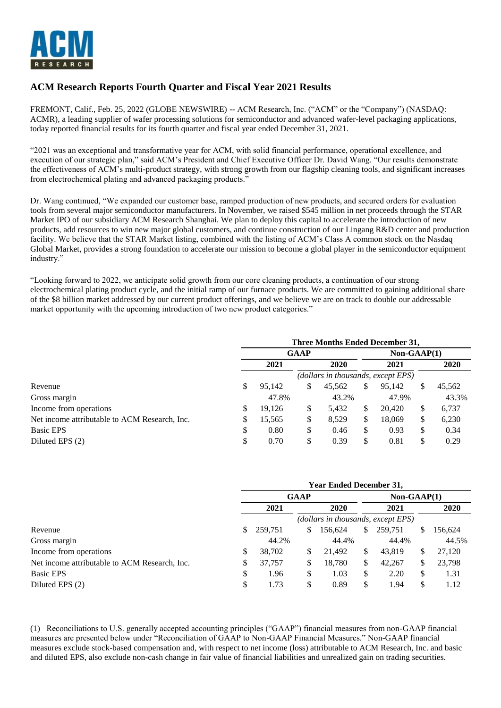

# **ACM Research Reports Fourth Quarter and Fiscal Year 2021 Results**

FREMONT, Calif., Feb. 25, 2022 (GLOBE NEWSWIRE) -- ACM Research, Inc. ("ACM" or the "Company") (NASDAQ: ACMR), a leading supplier of wafer processing solutions for semiconductor and advanced wafer-level packaging applications, today reported financial results for its fourth quarter and fiscal year ended December 31, 2021.

"2021 was an exceptional and transformative year for ACM, with solid financial performance, operational excellence, and execution of our strategic plan," said ACM's President and Chief Executive Officer Dr. David Wang. "Our results demonstrate the effectiveness of ACM's multi-product strategy, with strong growth from our flagship cleaning tools, and significant increases from electrochemical plating and advanced packaging products."

Dr. Wang continued, "We expanded our customer base, ramped production of new products, and secured orders for evaluation tools from several major semiconductor manufacturers. In November, we raised \$545 million in net proceeds through the STAR Market IPO of our subsidiary ACM Research Shanghai. We plan to deploy this capital to accelerate the introduction of new products, add resources to win new major global customers, and continue construction of our Lingang R&D center and production facility. We believe that the STAR Market listing, combined with the listing of ACM's Class A common stock on the Nasdaq Global Market, provides a strong foundation to accelerate our mission to become a global player in the semiconductor equipment industry."

"Looking forward to 2022, we anticipate solid growth from our core cleaning products, a continuation of our strong electrochemical plating product cycle, and the initial ramp of our furnace products. We are committed to gaining additional share of the \$8 billion market addressed by our current product offerings, and we believe we are on track to double our addressable market opportunity with the upcoming introduction of two new product categories."

|                                               |                                    |        |             |        |               | <b>Three Months Ended December 31,</b> |    |        |  |  |  |  |  |  |  |
|-----------------------------------------------|------------------------------------|--------|-------------|--------|---------------|----------------------------------------|----|--------|--|--|--|--|--|--|--|
|                                               |                                    |        | <b>GAAP</b> |        |               | $Non-GAAP(1)$                          |    |        |  |  |  |  |  |  |  |
|                                               |                                    | 2021   | 2020        |        | 2021          |                                        |    | 2020   |  |  |  |  |  |  |  |
|                                               | (dollars in thousands, except EPS) |        |             |        |               |                                        |    |        |  |  |  |  |  |  |  |
| Revenue                                       | \$                                 | 95.142 | S           | 45,562 | <sup>S</sup>  | 95,142                                 | S  | 45,562 |  |  |  |  |  |  |  |
| Gross margin                                  |                                    | 47.8%  |             | 43.2%  |               | 47.9%                                  |    | 43.3%  |  |  |  |  |  |  |  |
| Income from operations                        | \$                                 | 19.126 | S           | 5,432  | <sup>\$</sup> | 20,420                                 | \$ | 6,737  |  |  |  |  |  |  |  |
| Net income attributable to ACM Research, Inc. | \$                                 | 15,565 | \$          | 8,529  | S.            | 18,069                                 | \$ | 6,230  |  |  |  |  |  |  |  |
| <b>Basic EPS</b>                              | \$                                 | 0.80   | \$          | 0.46   | S             | 0.93                                   | \$ | 0.34   |  |  |  |  |  |  |  |
| Diluted EPS (2)                               | \$                                 | 0.70   | \$          | 0.39   |               | 0.81                                   | \$ | 0.29   |  |  |  |  |  |  |  |

|                                               |                                    |         |             | <b>Year Ended December 31,</b> |              |               |    |         |  |  |  |  |  |  |
|-----------------------------------------------|------------------------------------|---------|-------------|--------------------------------|--------------|---------------|----|---------|--|--|--|--|--|--|
|                                               |                                    |         | <b>GAAP</b> |                                |              | $Non-GAAP(1)$ |    |         |  |  |  |  |  |  |
|                                               |                                    | 2021    | 2020        |                                |              | 2021          |    | 2020    |  |  |  |  |  |  |
|                                               | (dollars in thousands, except EPS) |         |             |                                |              |               |    |         |  |  |  |  |  |  |
| Revenue                                       | \$                                 | 259.751 | S           | 156.624                        | <sup>S</sup> | 259,751       | S  | 156,624 |  |  |  |  |  |  |
| Gross margin                                  |                                    | 44.2%   |             | 44.4%                          |              | 44.4%         |    | 44.5%   |  |  |  |  |  |  |
| Income from operations                        | \$                                 | 38,702  | S           | 21,492                         | \$           | 43,819        | \$ | 27,120  |  |  |  |  |  |  |
| Net income attributable to ACM Research, Inc. | \$                                 | 37,757  | S           | 18,780                         | S            | 42,267        | \$ | 23,798  |  |  |  |  |  |  |
| <b>Basic EPS</b>                              | \$                                 | 1.96    | \$          | 1.03                           | \$           | 2.20          | \$ | 1.31    |  |  |  |  |  |  |
| Diluted EPS (2)                               | \$                                 | 1.73    | \$          | 0.89                           | S            | 1.94          | \$ | 1.12    |  |  |  |  |  |  |

(1) Reconciliations to U.S. generally accepted accounting principles ("GAAP") financial measures from non-GAAP financial measures are presented below under "Reconciliation of GAAP to Non-GAAP Financial Measures." Non-GAAP financial measures exclude stock-based compensation and, with respect to net income (loss) attributable to ACM Research, Inc. and basic and diluted EPS, also exclude non-cash change in fair value of financial liabilities and unrealized gain on trading securities.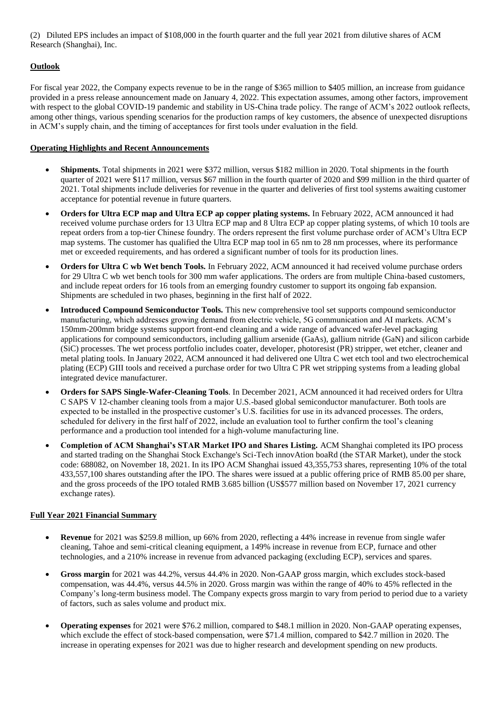(2) Diluted EPS includes an impact of \$108,000 in the fourth quarter and the full year 2021 from dilutive shares of ACM Research (Shanghai), Inc.

## **Outlook**

For fiscal year 2022, the Company expects revenue to be in the range of \$365 million to \$405 million, an increase from guidance provided in a press release announcement made on January 4, 2022. This expectation assumes, among other factors, improvement with respect to the global COVID-19 pandemic and stability in US-China trade policy. The range of ACM's 2022 outlook reflects, among other things, various spending scenarios for the production ramps of key customers, the absence of unexpected disruptions in ACM's supply chain, and the timing of acceptances for first tools under evaluation in the field.

## **Operating Highlights and Recent Announcements**

- **Shipments.** Total shipments in 2021 were \$372 million, versus \$182 million in 2020. Total shipments in the fourth quarter of 2021 were \$117 million, versus \$67 million in the fourth quarter of 2020 and \$99 million in the third quarter of 2021. Total shipments include deliveries for revenue in the quarter and deliveries of first tool systems awaiting customer acceptance for potential revenue in future quarters.
- **Orders for Ultra ECP map and Ultra ECP ap copper plating systems.** In February 2022, ACM announced it had received volume purchase orders for 13 Ultra ECP map and 8 Ultra ECP ap copper plating systems, of which 10 tools are repeat orders from a top-tier Chinese foundry. The orders represent the first volume purchase order of ACM's Ultra ECP map systems. The customer has qualified the Ultra ECP map tool in 65 nm to 28 nm processes, where its performance met or exceeded requirements, and has ordered a significant number of tools for its production lines.
- **Orders for Ultra C wb Wet bench Tools.** In February 2022, ACM announced it had received volume purchase orders for 29 Ultra C wb wet bench tools for 300 mm wafer applications. The orders are from multiple China-based customers, and include repeat orders for 16 tools from an emerging foundry customer to support its ongoing fab expansion. Shipments are scheduled in two phases, beginning in the first half of 2022.
- **Introduced Compound Semiconductor Tools.** This new comprehensive tool set supports compound semiconductor manufacturing, which addresses growing demand from electric vehicle, 5G communication and AI markets. ACM's 150mm-200mm bridge systems support front-end cleaning and a wide range of advanced wafer-level packaging applications for compound semiconductors, including gallium arsenide (GaAs), gallium nitride (GaN) and silicon carbide (SiC) processes. The wet process portfolio includes coater, developer, photoresist (PR) stripper, wet etcher, cleaner and metal plating tools. In January 2022, ACM announced it had delivered one Ultra C wet etch tool and two electrochemical plating (ECP) GIII tools and received a purchase order for two Ultra C PR wet stripping systems from a leading global integrated device manufacturer.
- **Orders for SAPS Single-Wafer-Cleaning Tools**. In December 2021, ACM announced it had received orders for Ultra C SAPS V 12-chamber cleaning tools from a major U.S.-based global semiconductor manufacturer. Both tools are expected to be installed in the prospective customer's U.S. facilities for use in its advanced processes. The orders, scheduled for delivery in the first half of 2022, include an evaluation tool to further confirm the tool's cleaning performance and a production tool intended for a high-volume manufacturing line.
- **Completion of ACM Shanghai's STAR Market IPO and Shares Listing.** ACM Shanghai completed its IPO process and started trading on the Shanghai Stock Exchange's Sci-Tech innovAtion boaRd (the STAR Market), under the stock code: 688082, on November 18, 2021. In its IPO ACM Shanghai issued 43,355,753 shares, representing 10% of the total 433,557,100 shares outstanding after the IPO. The shares were issued at a public offering price of RMB 85.00 per share, and the gross proceeds of the IPO totaled RMB 3.685 billion (US\$577 million based on November 17, 2021 currency exchange rates).

#### **Full Year 2021 Financial Summary**

- **Revenue** for 2021 was \$259.8 million, up 66% from 2020, reflecting a 44% increase in revenue from single wafer cleaning, Tahoe and semi-critical cleaning equipment, a 149% increase in revenue from ECP, furnace and other technologies, and a 210% increase in revenue from advanced packaging (excluding ECP), services and spares.
- **Gross margin** for 2021 was 44.2%, versus 44.4% in 2020. Non-GAAP gross margin, which excludes stock-based compensation, was 44.4%, versus 44.5% in 2020. Gross margin was within the range of 40% to 45% reflected in the Company's long-term business model. The Company expects gross margin to vary from period to period due to a variety of factors, such as sales volume and product mix.
- **Operating expenses** for 2021 were \$76.2 million, compared to \$48.1 million in 2020. Non-GAAP operating expenses, which exclude the effect of stock-based compensation, were \$71.4 million, compared to \$42.7 million in 2020. The increase in operating expenses for 2021 was due to higher research and development spending on new products.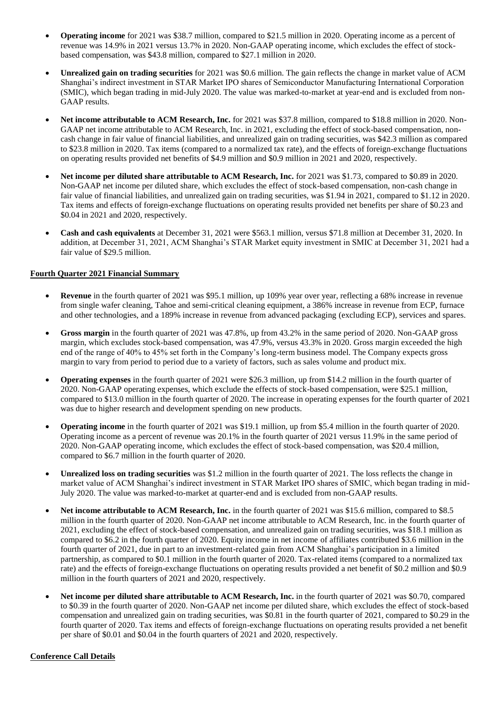- **Operating income** for 2021 was \$38.7 million, compared to \$21.5 million in 2020. Operating income as a percent of revenue was 14.9% in 2021 versus 13.7% in 2020. Non-GAAP operating income, which excludes the effect of stockbased compensation, was \$43.8 million, compared to \$27.1 million in 2020.
- **Unrealized gain on trading securities** for 2021 was \$0.6 million. The gain reflects the change in market value of ACM Shanghai's indirect investment in STAR Market IPO shares of Semiconductor Manufacturing International Corporation (SMIC), which began trading in mid-July 2020. The value was marked-to-market at year-end and is excluded from non-GAAP results.
- Net income attributable to ACM Research, Inc. for 2021 was \$37.8 million, compared to \$18.8 million in 2020. Non-GAAP net income attributable to ACM Research, Inc. in 2021, excluding the effect of stock-based compensation, noncash change in fair value of financial liabilities, and unrealized gain on trading securities, was \$42.3 million as compared to \$23.8 million in 2020. Tax items (compared to a normalized tax rate), and the effects of foreign-exchange fluctuations on operating results provided net benefits of \$4.9 million and \$0.9 million in 2021 and 2020, respectively.
- Net income per diluted share attributable to ACM Research, Inc. for 2021 was \$1.73, compared to \$0.89 in 2020. Non-GAAP net income per diluted share, which excludes the effect of stock-based compensation, non-cash change in fair value of financial liabilities, and unrealized gain on trading securities, was \$1.94 in 2021, compared to \$1.12 in 2020. Tax items and effects of foreign-exchange fluctuations on operating results provided net benefits per share of \$0.23 and \$0.04 in 2021 and 2020, respectively.
- **Cash and cash equivalents** at December 31, 2021 were \$563.1 million, versus \$71.8 million at December 31, 2020. In addition, at December 31, 2021, ACM Shanghai's STAR Market equity investment in SMIC at December 31, 2021 had a fair value of \$29.5 million.

## **Fourth Quarter 2021 Financial Summary**

- **Revenue** in the fourth quarter of 2021 was \$95.1 million, up 109% year over year, reflecting a 68% increase in revenue from single wafer cleaning, Tahoe and semi-critical cleaning equipment, a 386% increase in revenue from ECP, furnace and other technologies, and a 189% increase in revenue from advanced packaging (excluding ECP), services and spares.
- **Gross margin** in the fourth quarter of 2021 was 47.8%, up from 43.2% in the same period of 2020. Non-GAAP gross margin, which excludes stock-based compensation, was 47.9%, versus 43.3% in 2020. Gross margin exceeded the high end of the range of 40% to 45% set forth in the Company's long-term business model. The Company expects gross margin to vary from period to period due to a variety of factors, such as sales volume and product mix.
- **Operating expenses** in the fourth quarter of 2021 were \$26.3 million, up from \$14.2 million in the fourth quarter of 2020. Non-GAAP operating expenses, which exclude the effects of stock-based compensation, were \$25.1 million, compared to \$13.0 million in the fourth quarter of 2020. The increase in operating expenses for the fourth quarter of 2021 was due to higher research and development spending on new products.
- **Operating income** in the fourth quarter of 2021 was \$19.1 million, up from \$5.4 million in the fourth quarter of 2020. Operating income as a percent of revenue was 20.1% in the fourth quarter of 2021 versus 11.9% in the same period of 2020. Non-GAAP operating income, which excludes the effect of stock-based compensation, was \$20.4 million, compared to \$6.7 million in the fourth quarter of 2020.
- **Unrealized loss on trading securities** was \$1.2 million in the fourth quarter of 2021. The loss reflects the change in market value of ACM Shanghai's indirect investment in STAR Market IPO shares of SMIC, which began trading in mid-July 2020. The value was marked-to-market at quarter-end and is excluded from non-GAAP results.
- Net income attributable to ACM Research, Inc. in the fourth quarter of 2021 was \$15.6 million, compared to \$8.5 million in the fourth quarter of 2020. Non-GAAP net income attributable to ACM Research, Inc. in the fourth quarter of 2021, excluding the effect of stock-based compensation, and unrealized gain on trading securities, was \$18.1 million as compared to \$6.2 in the fourth quarter of 2020. Equity income in net income of affiliates contributed \$3.6 million in the fourth quarter of 2021, due in part to an investment-related gain from ACM Shanghai's participation in a limited partnership, as compared to \$0.1 million in the fourth quarter of 2020. Tax-related items (compared to a normalized tax rate) and the effects of foreign-exchange fluctuations on operating results provided a net benefit of \$0.2 million and \$0.9 million in the fourth quarters of 2021 and 2020, respectively.
- **Net income per diluted share attributable to ACM Research, Inc.** in the fourth quarter of 2021 was \$0.70, compared to \$0.39 in the fourth quarter of 2020. Non-GAAP net income per diluted share, which excludes the effect of stock-based compensation and unrealized gain on trading securities, was \$0.81 in the fourth quarter of 2021, compared to \$0.29 in the fourth quarter of 2020. Tax items and effects of foreign-exchange fluctuations on operating results provided a net benefit per share of \$0.01 and \$0.04 in the fourth quarters of 2021 and 2020, respectively.

#### **Conference Call Details**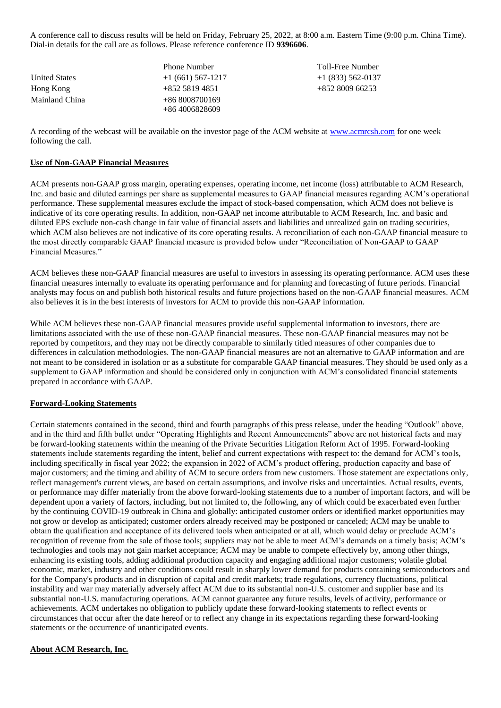A conference call to discuss results will be held on Friday, February 25, 2022, at 8:00 a.m. Eastern Time (9:00 p.m. China Time). Dial-in details for the call are as follows. Please reference conference ID **9396606**.

| <b>Phone Number</b>  |                   | Toll-Free Number    |
|----------------------|-------------------|---------------------|
| <b>United States</b> | $+1(661)567-1217$ | $+1$ (833) 562-0137 |
| Hong Kong            | $+85258194851$    | $+852800966253$     |
| Mainland China       | $+868008700169$   |                     |
|                      | +86 4006828609    |                     |

A recording of the webcast will be available on the investor page of the ACM website at [www.acmrcsh.com](https://www.acmrcsh.com/) for one week following the call.

#### **Use of Non-GAAP Financial Measures**

ACM presents non-GAAP gross margin, operating expenses, operating income, net income (loss) attributable to ACM Research, Inc. and basic and diluted earnings per share as supplemental measures to GAAP financial measures regarding ACM's operational performance. These supplemental measures exclude the impact of stock-based compensation, which ACM does not believe is indicative of its core operating results. In addition, non-GAAP net income attributable to ACM Research, Inc. and basic and diluted EPS exclude non-cash change in fair value of financial assets and liabilities and unrealized gain on trading securities, which ACM also believes are not indicative of its core operating results. A reconciliation of each non-GAAP financial measure to the most directly comparable GAAP financial measure is provided below under "Reconciliation of Non-GAAP to GAAP Financial Measures."

ACM believes these non-GAAP financial measures are useful to investors in assessing its operating performance. ACM uses these financial measures internally to evaluate its operating performance and for planning and forecasting of future periods. Financial analysts may focus on and publish both historical results and future projections based on the non-GAAP financial measures. ACM also believes it is in the best interests of investors for ACM to provide this non-GAAP information.

While ACM believes these non-GAAP financial measures provide useful supplemental information to investors, there are limitations associated with the use of these non-GAAP financial measures. These non-GAAP financial measures may not be reported by competitors, and they may not be directly comparable to similarly titled measures of other companies due to differences in calculation methodologies. The non-GAAP financial measures are not an alternative to GAAP information and are not meant to be considered in isolation or as a substitute for comparable GAAP financial measures. They should be used only as a supplement to GAAP information and should be considered only in conjunction with ACM's consolidated financial statements prepared in accordance with GAAP.

#### **Forward-Looking Statements**

Certain statements contained in the second, third and fourth paragraphs of this press release, under the heading "Outlook" above, and in the third and fifth bullet under "Operating Highlights and Recent Announcements" above are not historical facts and may be forward-looking statements within the meaning of the Private Securities Litigation Reform Act of 1995. Forward-looking statements include statements regarding the intent, belief and current expectations with respect to: the demand for ACM's tools, including specifically in fiscal year 2022; the expansion in 2022 of ACM's product offering, production capacity and base of major customers; and the timing and ability of ACM to secure orders from new customers. Those statement are expectations only, reflect management's current views, are based on certain assumptions, and involve risks and uncertainties. Actual results, events, or performance may differ materially from the above forward-looking statements due to a number of important factors, and will be dependent upon a variety of factors, including, but not limited to, the following, any of which could be exacerbated even further by the continuing COVID-19 outbreak in China and globally: anticipated customer orders or identified market opportunities may not grow or develop as anticipated; customer orders already received may be postponed or canceled; ACM may be unable to obtain the qualification and acceptance of its delivered tools when anticipated or at all, which would delay or preclude ACM's recognition of revenue from the sale of those tools; suppliers may not be able to meet ACM's demands on a timely basis; ACM's technologies and tools may not gain market acceptance; ACM may be unable to compete effectively by, among other things, enhancing its existing tools, adding additional production capacity and engaging additional major customers; volatile global economic, market, industry and other conditions could result in sharply lower demand for products containing semiconductors and for the Company's products and in disruption of capital and credit markets; trade regulations, currency fluctuations, political instability and war may materially adversely affect ACM due to its substantial non-U.S. customer and supplier base and its substantial non-U.S. manufacturing operations. ACM cannot guarantee any future results, levels of activity, performance or achievements. ACM undertakes no obligation to publicly update these forward-looking statements to reflect events or circumstances that occur after the date hereof or to reflect any change in its expectations regarding these forward-looking statements or the occurrence of unanticipated events.

#### **About ACM Research, Inc.**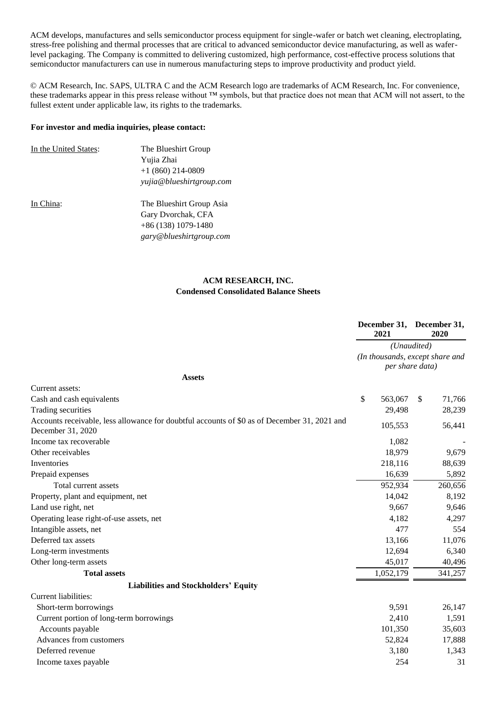ACM develops, manufactures and sells semiconductor process equipment for single-wafer or batch wet cleaning, electroplating, stress-free polishing and thermal processes that are critical to advanced semiconductor device manufacturing, as well as waferlevel packaging. The Company is committed to delivering customized, high performance, cost-effective process solutions that semiconductor manufacturers can use in numerous manufacturing steps to improve productivity and product yield.

© ACM Research, Inc. SAPS, ULTRA C and the ACM Research logo are trademarks of ACM Research, Inc. For convenience, these trademarks appear in this press release without ™ symbols, but that practice does not mean that ACM will not assert, to the fullest extent under applicable law, its rights to the trademarks.

#### **For investor and media inquiries, please contact:**

| In the United States: | The Blueshirt Group      |
|-----------------------|--------------------------|
|                       | Yujia Zhai               |
|                       | $+1$ (860) 214-0809      |
|                       | yujia@blueshirtgroup.com |
| In China:             | The Blueshirt Group Asia |
|                       | Gary Dvorchak, CFA       |
|                       | $+86(138)1079-1480$      |
|                       | gary@blueshirtgroup.com  |

## **ACM RESEARCH, INC. Condensed Consolidated Balance Sheets**

|                                                                                                                   | 2021          | December 31, December 31,<br>2020                  |
|-------------------------------------------------------------------------------------------------------------------|---------------|----------------------------------------------------|
|                                                                                                                   |               | (Unaudited)                                        |
|                                                                                                                   |               | (In thousands, except share and<br>per share data) |
| <b>Assets</b>                                                                                                     |               |                                                    |
| Current assets:                                                                                                   |               |                                                    |
| Cash and cash equivalents                                                                                         | \$<br>563,067 | 71,766<br>\$                                       |
| Trading securities                                                                                                | 29,498        | 28,239                                             |
| Accounts receivable, less allowance for doubtful accounts of \$0 as of December 31, 2021 and<br>December 31, 2020 | 105,553       | 56,441                                             |
| Income tax recoverable                                                                                            | 1,082         |                                                    |
| Other receivables                                                                                                 | 18,979        | 9,679                                              |
| Inventories                                                                                                       | 218,116       | 88,639                                             |
| Prepaid expenses                                                                                                  | 16,639        | 5,892                                              |
| Total current assets                                                                                              | 952,934       | 260,656                                            |
| Property, plant and equipment, net                                                                                | 14,042        | 8,192                                              |
| Land use right, net                                                                                               | 9,667         | 9,646                                              |
| Operating lease right-of-use assets, net                                                                          | 4,182         | 4,297                                              |
| Intangible assets, net                                                                                            | 477           | 554                                                |
| Deferred tax assets                                                                                               | 13,166        | 11,076                                             |
| Long-term investments                                                                                             | 12,694        | 6,340                                              |
| Other long-term assets                                                                                            | 45,017        | 40,496                                             |
| <b>Total assets</b>                                                                                               | 1,052,179     | 341,257                                            |
| <b>Liabilities and Stockholders' Equity</b>                                                                       |               |                                                    |
| Current liabilities:                                                                                              |               |                                                    |
| Short-term borrowings                                                                                             | 9,591         | 26,147                                             |
| Current portion of long-term borrowings                                                                           | 2,410         | 1,591                                              |
| Accounts payable                                                                                                  | 101,350       | 35,603                                             |
| Advances from customers                                                                                           | 52,824        | 17,888                                             |
| Deferred revenue                                                                                                  | 3,180         | 1,343                                              |
| Income taxes payable                                                                                              | 254           | 31                                                 |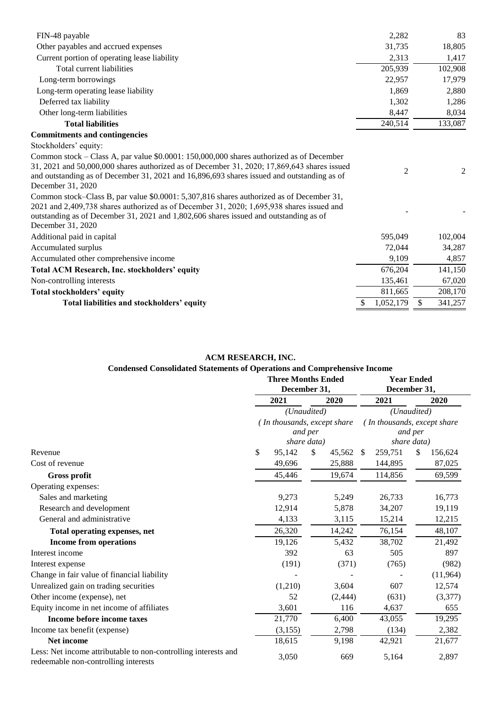|                                                                                                                                                                                                                                                                                                              |           | 83      |
|--------------------------------------------------------------------------------------------------------------------------------------------------------------------------------------------------------------------------------------------------------------------------------------------------------------|-----------|---------|
| Other payables and accrued expenses                                                                                                                                                                                                                                                                          | 31,735    | 18,805  |
| Current portion of operating lease liability                                                                                                                                                                                                                                                                 | 2,313     | 1,417   |
| Total current liabilities                                                                                                                                                                                                                                                                                    | 205,939   | 102,908 |
| Long-term borrowings                                                                                                                                                                                                                                                                                         | 22,957    | 17,979  |
| Long-term operating lease liability                                                                                                                                                                                                                                                                          | 1,869     | 2,880   |
| Deferred tax liability                                                                                                                                                                                                                                                                                       | 1,302     | 1,286   |
| Other long-term liabilities                                                                                                                                                                                                                                                                                  | 8,447     | 8,034   |
| <b>Total liabilities</b>                                                                                                                                                                                                                                                                                     | 240,514   | 133,087 |
| <b>Commitments and contingencies</b>                                                                                                                                                                                                                                                                         |           |         |
| Stockholders' equity:                                                                                                                                                                                                                                                                                        |           |         |
| Common stock – Class A, par value \$0.0001: 150,000,000 shares authorized as of December<br>31, 2021 and 50,000,000 shares authorized as of December 31, 2020; 17,869,643 shares issued<br>and outstanding as of December 31, 2021 and 16,896,693 shares issued and outstanding as of<br>December 31, 2020   | 2         | 2       |
| Common stock–Class B, par value \$0.0001: 5,307,816 shares authorized as of December 31,<br>$2021$ and $2,409,738$ shares authorized as of December 31, $2020$ ; $1,695,938$ shares issued and<br>outstanding as of December 31, 2021 and 1,802,606 shares issued and outstanding as of<br>December 31, 2020 |           |         |
| Additional paid in capital                                                                                                                                                                                                                                                                                   | 595,049   | 102,004 |
| Accumulated surplus                                                                                                                                                                                                                                                                                          | 72,044    | 34,287  |
| Accumulated other comprehensive income                                                                                                                                                                                                                                                                       | 9,109     | 4,857   |
| Total ACM Research, Inc. stockholders' equity                                                                                                                                                                                                                                                                | 676,204   | 141,150 |
| Non-controlling interests                                                                                                                                                                                                                                                                                    | 135,461   | 67,020  |
| Total stockholders' equity                                                                                                                                                                                                                                                                                   | 811,665   | 208,170 |
| Total liabilities and stockholders' equity                                                                                                                                                                                                                                                                   | 1,052,179 | 341,257 |

#### **ACM RESEARCH, INC.**

#### **Condensed Consolidated Statements of Operations and Comprehensive Income**

|                                                                                                        | <b>Three Months Ended</b><br>December 31, |             |          |               | <b>Year Ended</b><br>December 31, |             |           |  |
|--------------------------------------------------------------------------------------------------------|-------------------------------------------|-------------|----------|---------------|-----------------------------------|-------------|-----------|--|
|                                                                                                        | 2021                                      |             | 2020     |               | 2021                              |             | 2020      |  |
|                                                                                                        |                                           | (Unaudited) |          |               | (Unaudited)                       |             |           |  |
|                                                                                                        | (In thousands, except share               |             |          |               | (In thousands, except share       |             |           |  |
|                                                                                                        |                                           | and per     |          |               |                                   | and per     |           |  |
|                                                                                                        |                                           | share data) |          |               |                                   | share data) |           |  |
| Revenue                                                                                                | \$<br>95,142                              | \$          | 45,562   | <sup>\$</sup> | 259,751                           | \$          | 156,624   |  |
| Cost of revenue                                                                                        | 49,696                                    |             | 25,888   |               | 144,895                           |             | 87,025    |  |
| <b>Gross profit</b>                                                                                    | 45,446                                    |             | 19,674   |               | 114,856                           |             | 69,599    |  |
| Operating expenses:                                                                                    |                                           |             |          |               |                                   |             |           |  |
| Sales and marketing                                                                                    | 9,273                                     |             | 5,249    |               | 26,733                            |             | 16,773    |  |
| Research and development                                                                               | 12,914                                    |             | 5,878    |               | 34,207                            |             | 19,119    |  |
| General and administrative                                                                             | 4,133                                     |             | 3,115    |               | 15,214                            |             | 12,215    |  |
| Total operating expenses, net                                                                          | 26,320                                    |             | 14,242   |               | 76,154                            |             | 48,107    |  |
| <b>Income from operations</b>                                                                          | 19,126                                    |             | 5,432    |               | 38,702                            |             | 21,492    |  |
| Interest income                                                                                        | 392                                       |             | 63       |               | 505                               |             | 897       |  |
| Interest expense                                                                                       | (191)                                     |             | (371)    |               | (765)                             |             | (982)     |  |
| Change in fair value of financial liability                                                            |                                           |             |          |               |                                   |             | (11, 964) |  |
| Unrealized gain on trading securities                                                                  | (1,210)                                   |             | 3,604    |               | 607                               |             | 12,574    |  |
| Other income (expense), net                                                                            | 52                                        |             | (2, 444) |               | (631)                             |             | (3,377)   |  |
| Equity income in net income of affiliates                                                              | 3,601                                     |             | 116      |               | 4,637                             |             | 655       |  |
| Income before income taxes                                                                             | 21,770                                    |             | 6,400    |               | 43,055                            |             | 19,295    |  |
| Income tax benefit (expense)                                                                           | (3,155)                                   |             | 2,798    |               | (134)                             |             | 2,382     |  |
| Net income                                                                                             | 18,615                                    |             | 9,198    |               | 42,921                            |             | 21,677    |  |
| Less: Net income attributable to non-controlling interests and<br>redeemable non-controlling interests | 3,050                                     |             | 669      |               | 5,164                             |             | 2,897     |  |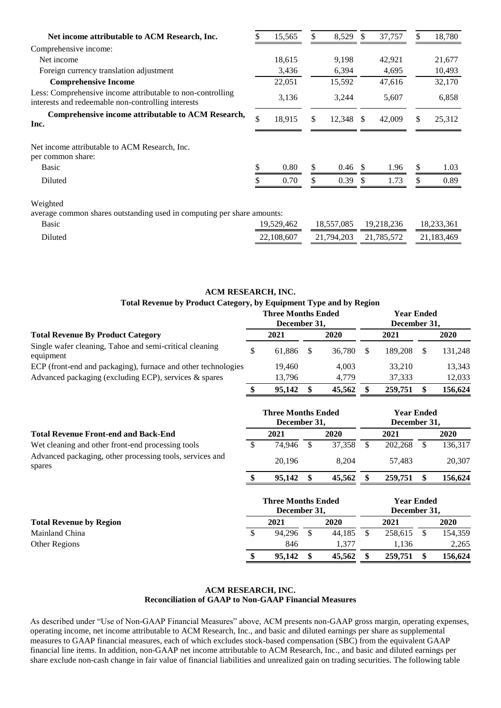| Net income attributable to ACM Research, Inc.                                                                    |  | 15,565     | \$ | 8,529              | -S   | 37,757     |            | 18,780     |  |
|------------------------------------------------------------------------------------------------------------------|--|------------|----|--------------------|------|------------|------------|------------|--|
| Comprehensive income:                                                                                            |  |            |    |                    |      |            |            |            |  |
| Net income                                                                                                       |  | 18,615     |    | 9,198              |      | 42,921     |            | 21,677     |  |
| Foreign currency translation adjustment                                                                          |  | 3,436      |    | 6,394              |      | 4,695      |            | 10,493     |  |
| <b>Comprehensive Income</b>                                                                                      |  | 22,051     |    | 15,592             |      | 47,616     |            | 32,170     |  |
| Less: Comprehensive income attributable to non-controlling<br>interests and redeemable non-controlling interests |  | 3,136      |    | 3,244              |      | 5,607      |            | 6,858      |  |
| Comprehensive income attributable to ACM Research,<br>Inc.                                                       |  | 18,915     | S  | 12,348             | -S   | 42,009     | S          | 25,312     |  |
| Net income attributable to ACM Research, Inc.                                                                    |  |            |    |                    |      |            |            |            |  |
| per common share:                                                                                                |  |            |    |                    |      |            |            |            |  |
| <b>Basic</b>                                                                                                     |  | 0.80       | S  | $0.46 \text{ }$ \$ |      | 1.96       | S          | 1.03       |  |
| Diluted                                                                                                          |  | 0.70       |    | 0.39               | - \$ | 1.73       | \$.        | 0.89       |  |
| Weighted                                                                                                         |  |            |    |                    |      |            |            |            |  |
| average common shares outstanding used in computing per share amounts:                                           |  |            |    |                    |      |            |            |            |  |
| <b>Basic</b>                                                                                                     |  | 19,529,462 |    | 18,557,085         |      | 19,218,236 |            | 18,233,361 |  |
| Diluted                                                                                                          |  | 22,108,607 |    | 21,794,203         |      | 21,785,572 | 21,183,469 |            |  |

#### **ACM RESEARCH, INC.**

## **Total Revenue by Product Category, by Equipment Type and by Region**

|                                                                      |  | <b>Three Months Ended</b><br>December 31, |        | <b>Year Ended</b><br>December 31, |         |      |         |  |  |
|----------------------------------------------------------------------|--|-------------------------------------------|--------|-----------------------------------|---------|------|---------|--|--|
| <b>Total Revenue By Product Category</b>                             |  | 2021                                      | 2020   |                                   | 2021    | 2020 |         |  |  |
| Single wafer cleaning, Tahoe and semi-critical cleaning<br>equipment |  | 61.886                                    | 36.780 |                                   | 189.208 |      | 131,248 |  |  |
| ECP (front-end and packaging), furnace and other technologies        |  | 19.460                                    | 4.003  |                                   | 33.210  |      | 13,343  |  |  |
| Advanced packaging (excluding ECP), services $\&$ spares             |  | 13.796                                    | 4.779  |                                   | 37.333  |      | 12,033  |  |  |
|                                                                      |  | 95,142                                    | 45,562 |                                   | 259,751 |      | 156,624 |  |  |

|                                                                    |  | <b>Three Months Ended</b><br>December 31, |        | <b>Year Ended</b><br>December 31, |         |  |         |  |  |  |
|--------------------------------------------------------------------|--|-------------------------------------------|--------|-----------------------------------|---------|--|---------|--|--|--|
| <b>Total Revenue Front-end and Back-End</b>                        |  | 2021                                      | 2020   |                                   | 2021    |  | 2020    |  |  |  |
| Wet cleaning and other front-end processing tools                  |  | 74.946                                    | 37.358 |                                   | 202.268 |  | 136,317 |  |  |  |
| Advanced packaging, other processing tools, services and<br>spares |  | 20.196                                    | 8.204  |                                   | 57.483  |  | 20,307  |  |  |  |
|                                                                    |  | 95.142                                    | 45.562 |                                   | 259,751 |  | 156,624 |  |  |  |

|                                |   | <b>Three Months Ended</b><br>December 31, | <b>Year Ended</b><br>December 31, |  |         |  |         |  |  |
|--------------------------------|---|-------------------------------------------|-----------------------------------|--|---------|--|---------|--|--|
| <b>Total Revenue by Region</b> |   | 2021                                      | 2020                              |  | 2021    |  | 2020    |  |  |
| Mainland China                 |   | 94.296                                    | 44,185                            |  | 258,615 |  | 154,359 |  |  |
| Other Regions                  |   | 846                                       | 1.377                             |  | 1.136   |  | 2,265   |  |  |
|                                | S | 95,142                                    | 45.562                            |  | 259,751 |  | 156,624 |  |  |

#### **ACM RESEARCH, INC. Reconciliation of GAAP to Non-GAAP Financial Measures**

As described under "Use of Non-GAAP Financial Measures" above, ACM presents non-GAAP gross margin, operating expenses, operating income, net income attributable to ACM Research, Inc., and basic and diluted earnings per share as supplemental measures to GAAP financial measures, each of which excludes stock-based compensation (SBC) from the equivalent GAAP financial line items. In addition, non-GAAP net income attributable to ACM Research, Inc., and basic and diluted earnings per share exclude non-cash change in fair value of financial liabilities and unrealized gain on trading securities. The following table